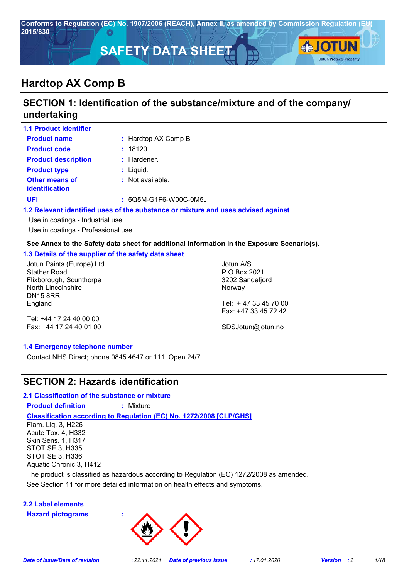

# **SECTION 1: Identification of the substance/mixture and of the company/ undertaking**

| <b>1.1 Product identifier</b>                  |                                                                                   |
|------------------------------------------------|-----------------------------------------------------------------------------------|
| <b>Product name</b>                            | : Hardtop AX Comp B                                                               |
| <b>Product code</b>                            | : 18120                                                                           |
| <b>Product description</b>                     | $:$ Hardener.                                                                     |
| <b>Product type</b>                            | : Liquid.                                                                         |
| <b>Other means of</b><br><i>identification</i> | : Not available.                                                                  |
| <b>UFI</b>                                     | $: 5Q5M-G1F6-W00C-0M5J$                                                           |
|                                                | 1.2 Relevant identified uses of the substance or mixture and uses advised against |
| Use in coatings - Industrial use               |                                                                                   |

Use in coatings - Professional use

#### **See Annex to the Safety data sheet for additional information in the Exposure Scenario(s).**

#### **1.3 Details of the supplier of the safety data sheet**

Jotun Paints (Europe) Ltd. Stather Road Flixborough, Scunthorpe North Lincolnshire DN15 8RR England

Jotun A/S P.O.Box 2021 3202 Sandefjord Norway Tel: + 47 33 45 70 00

Tel: +44 17 24 40 00 00 Fax: +44 17 24 40 01 00

# Fax: +47 33 45 72 42 SDSJotun@jotun.no

#### **1.4 Emergency telephone number**

Contact NHS Direct; phone 0845 4647 or 111. Open 24/7.

### **SECTION 2: Hazards identification**

**2.1 Classification of the substance or mixture**

**Product definition :** Mixture

**Classification according to Regulation (EC) No. 1272/2008 [CLP/GHS]**

Flam. Liq. 3, H226 Acute Tox. 4, H332 Skin Sens. 1, H317 STOT SE 3, H335 STOT SE 3, H336 Aquatic Chronic 3, H412

See Section 11 for more detailed information on health effects and symptoms. The product is classified as hazardous according to Regulation (EC) 1272/2008 as amended.

#### **2.2 Label elements**

**Hazard pictograms :**

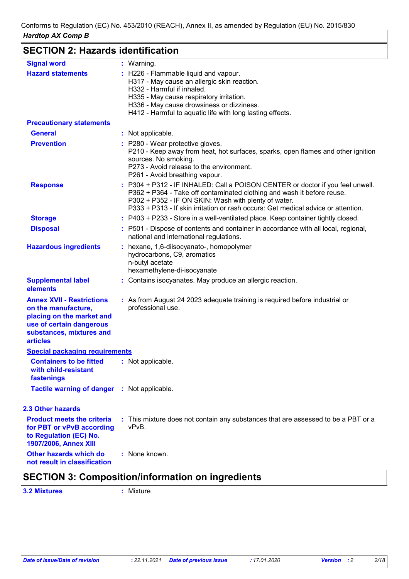# **SECTION 2: Hazards identification**

| <b>Signal word</b>                                                                                                                                              | : Warning.                                                                                                                                                                                                                                                                                            |
|-----------------------------------------------------------------------------------------------------------------------------------------------------------------|-------------------------------------------------------------------------------------------------------------------------------------------------------------------------------------------------------------------------------------------------------------------------------------------------------|
| <b>Hazard statements</b>                                                                                                                                        | : H226 - Flammable liquid and vapour.<br>H317 - May cause an allergic skin reaction.<br>H332 - Harmful if inhaled.<br>H335 - May cause respiratory irritation.<br>H336 - May cause drowsiness or dizziness.<br>H412 - Harmful to aquatic life with long lasting effects.                              |
| <b>Precautionary statements</b>                                                                                                                                 |                                                                                                                                                                                                                                                                                                       |
| <b>General</b>                                                                                                                                                  | : Not applicable.                                                                                                                                                                                                                                                                                     |
| <b>Prevention</b>                                                                                                                                               | : P280 - Wear protective gloves.<br>P210 - Keep away from heat, hot surfaces, sparks, open flames and other ignition<br>sources. No smoking.<br>P273 - Avoid release to the environment.<br>P261 - Avoid breathing vapour.                                                                            |
| <b>Response</b>                                                                                                                                                 | : P304 + P312 - IF INHALED: Call a POISON CENTER or doctor if you feel unwell.<br>P362 + P364 - Take off contaminated clothing and wash it before reuse.<br>P302 + P352 - IF ON SKIN: Wash with plenty of water.<br>P333 + P313 - If skin irritation or rash occurs: Get medical advice or attention. |
| <b>Storage</b>                                                                                                                                                  | : P403 + P233 - Store in a well-ventilated place. Keep container tightly closed.                                                                                                                                                                                                                      |
| <b>Disposal</b>                                                                                                                                                 | : P501 - Dispose of contents and container in accordance with all local, regional,<br>national and international regulations.                                                                                                                                                                         |
| <b>Hazardous ingredients</b>                                                                                                                                    | : hexane, 1,6-diisocyanato-, homopolymer<br>hydrocarbons, C9, aromatics<br>n-butyl acetate<br>hexamethylene-di-isocyanate                                                                                                                                                                             |
| <b>Supplemental label</b><br>elements                                                                                                                           | : Contains isocyanates. May produce an allergic reaction.                                                                                                                                                                                                                                             |
| <b>Annex XVII - Restrictions</b><br>on the manufacture,<br>placing on the market and<br>use of certain dangerous<br>substances, mixtures and<br><b>articles</b> | : As from August 24 2023 adequate training is required before industrial or<br>professional use.                                                                                                                                                                                                      |
| <b>Special packaging requirements</b>                                                                                                                           |                                                                                                                                                                                                                                                                                                       |
| <b>Containers to be fitted</b><br>with child-resistant<br>fastenings                                                                                            | : Not applicable.                                                                                                                                                                                                                                                                                     |
| Tactile warning of danger : Not applicable.                                                                                                                     |                                                                                                                                                                                                                                                                                                       |
| <b>2.3 Other hazards</b>                                                                                                                                        |                                                                                                                                                                                                                                                                                                       |
| <b>Product meets the criteria</b><br>for PBT or vPvB according<br>to Regulation (EC) No.<br>1907/2006, Annex XIII                                               | : This mixture does not contain any substances that are assessed to be a PBT or a<br>vPvB.                                                                                                                                                                                                            |
| Other hazards which do<br>not result in classification                                                                                                          | : None known.                                                                                                                                                                                                                                                                                         |

## **SECTION 3: Composition/information on ingredients**

**3.2 Mixtures :** Mixture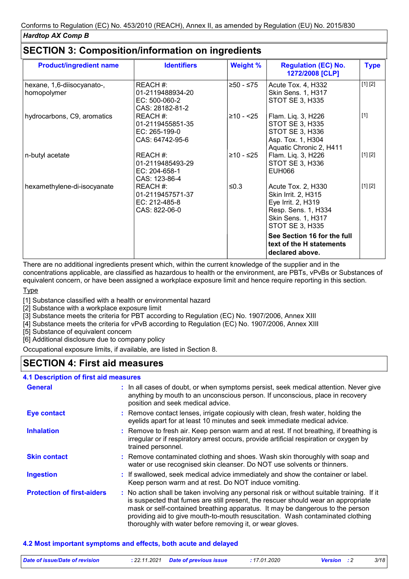| <b>Product/ingredient name</b>            | <b>Identifiers</b>                                               | <b>Weight %</b> | <b>Regulation (EC) No.</b><br>1272/2008 [CLP]                                                                                   | <b>Type</b> |
|-------------------------------------------|------------------------------------------------------------------|-----------------|---------------------------------------------------------------------------------------------------------------------------------|-------------|
| hexane, 1,6-diisocyanato-,<br>homopolymer | REACH #:<br>01-2119488934-20<br>EC: 500-060-2<br>CAS: 28182-81-2 | ≥50 - ≤75       | Acute Tox. 4, H332<br>Skin Sens. 1, H317<br>STOT SE 3, H335                                                                     | [1] [2]     |
| hydrocarbons, C9, aromatics               | REACH #:<br>01-2119455851-35<br>EC: 265-199-0<br>CAS: 64742-95-6 | ≥10 - <25       | Flam. Liq. 3, H226<br><b>STOT SE 3, H335</b><br>STOT SE 3, H336<br>Asp. Tox. 1, H304<br>Aquatic Chronic 2, H411                 | $[1]$       |
| n-butyl acetate                           | REACH #:<br>01-2119485493-29<br>$EC: 204-658-1$<br>CAS: 123-86-4 | ≥10 - ≤25       | Flam. Liq. 3, H226<br>STOT SE 3, H336<br><b>EUH066</b>                                                                          | [1] [2]     |
| hexamethylene-di-isocyanate               | REACH #:<br>01-2119457571-37<br>EC: 212-485-8<br>CAS: 822-06-0   | ≤0.3            | Acute Tox. 2, H330<br>Skin Irrit. 2, H315<br>Eye Irrit. 2, H319<br>Resp. Sens. 1, H334<br>Skin Sens. 1, H317<br>STOT SE 3, H335 | [1] [2]     |
|                                           |                                                                  |                 | See Section 16 for the full<br>text of the H statements<br>declared above.                                                      |             |

# **SECTION 3: Composition/information on ingredients**

There are no additional ingredients present which, within the current knowledge of the supplier and in the concentrations applicable, are classified as hazardous to health or the environment, are PBTs, vPvBs or Substances of equivalent concern, or have been assigned a workplace exposure limit and hence require reporting in this section.

Type

[1] Substance classified with a health or environmental hazard

<sup>1</sup>/<sub>2</sub>] Substance with a workplace exposure limit

[3] Substance meets the criteria for PBT according to Regulation (EC) No. 1907/2006, Annex XIII

[4] Substance meets the criteria for vPvB according to Regulation (EC) No. 1907/2006, Annex XIII

[5] Substance of equivalent concern

[6] Additional disclosure due to company policy

Occupational exposure limits, if available, are listed in Section 8.

## **SECTION 4: First aid measures**

#### **4.1 Description of first aid measures**

| <b>General</b>                    | : In all cases of doubt, or when symptoms persist, seek medical attention. Never give<br>anything by mouth to an unconscious person. If unconscious, place in recovery<br>position and seek medical advice.                                                                                                                                                                                                     |
|-----------------------------------|-----------------------------------------------------------------------------------------------------------------------------------------------------------------------------------------------------------------------------------------------------------------------------------------------------------------------------------------------------------------------------------------------------------------|
| <b>Eye contact</b>                | : Remove contact lenses, irrigate copiously with clean, fresh water, holding the<br>eyelids apart for at least 10 minutes and seek immediate medical advice.                                                                                                                                                                                                                                                    |
| <b>Inhalation</b>                 | : Remove to fresh air. Keep person warm and at rest. If not breathing, if breathing is<br>irregular or if respiratory arrest occurs, provide artificial respiration or oxygen by<br>trained personnel.                                                                                                                                                                                                          |
| <b>Skin contact</b>               | : Remove contaminated clothing and shoes. Wash skin thoroughly with soap and<br>water or use recognised skin cleanser. Do NOT use solvents or thinners.                                                                                                                                                                                                                                                         |
| <b>Ingestion</b>                  | : If swallowed, seek medical advice immediately and show the container or label.<br>Keep person warm and at rest. Do NOT induce vomiting.                                                                                                                                                                                                                                                                       |
| <b>Protection of first-aiders</b> | : No action shall be taken involving any personal risk or without suitable training. If it<br>is suspected that fumes are still present, the rescuer should wear an appropriate<br>mask or self-contained breathing apparatus. It may be dangerous to the person<br>providing aid to give mouth-to-mouth resuscitation. Wash contaminated clothing<br>thoroughly with water before removing it, or wear gloves. |

#### **4.2 Most important symptoms and effects, both acute and delayed**

| Date of issue/Date of revision | : 22.11.2021 Date of previous issue | :17.01.2020 | <b>Version</b> : 2 | 3/18 |
|--------------------------------|-------------------------------------|-------------|--------------------|------|
|                                |                                     |             |                    |      |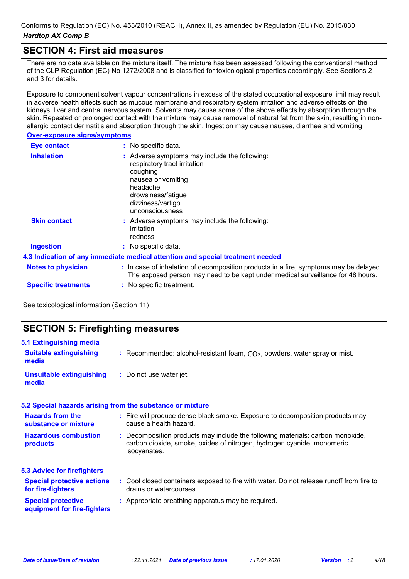### **SECTION 4: First aid measures**

There are no data available on the mixture itself. The mixture has been assessed following the conventional method of the CLP Regulation (EC) No 1272/2008 and is classified for toxicological properties accordingly. See Sections 2 and 3 for details.

Exposure to component solvent vapour concentrations in excess of the stated occupational exposure limit may result in adverse health effects such as mucous membrane and respiratory system irritation and adverse effects on the kidneys, liver and central nervous system. Solvents may cause some of the above effects by absorption through the skin. Repeated or prolonged contact with the mixture may cause removal of natural fat from the skin, resulting in nonallergic contact dermatitis and absorption through the skin. Ingestion may cause nausea, diarrhea and vomiting.

#### **Over-exposure signs/symptoms**

| Eye contact                | $:$ No specific data.                                                                                                                                                                   |
|----------------------------|-----------------------------------------------------------------------------------------------------------------------------------------------------------------------------------------|
| <b>Inhalation</b>          | Adverse symptoms may include the following:<br>respiratory tract irritation<br>coughing<br>nausea or vomiting<br>headache<br>drowsiness/fatigue<br>dizziness/vertigo<br>unconsciousness |
| <b>Skin contact</b>        | : Adverse symptoms may include the following:<br>irritation<br>redness                                                                                                                  |
| <b>Ingestion</b>           | : No specific data.                                                                                                                                                                     |
|                            | 4.3 Indication of any immediate medical attention and special treatment needed                                                                                                          |
| <b>Notes to physician</b>  | : In case of inhalation of decomposition products in a fire, symptoms may be delayed.<br>The exposed person may need to be kept under medical surveillance for 48 hours.                |
| <b>Specific treatments</b> | : No specific treatment.                                                                                                                                                                |

See toxicological information (Section 11)

| <b>SECTION 5: Firefighting measures</b>                  |                                                                                                                                                                          |
|----------------------------------------------------------|--------------------------------------------------------------------------------------------------------------------------------------------------------------------------|
| 5.1 Extinguishing media                                  |                                                                                                                                                                          |
| <b>Suitable extinguishing</b><br>media                   | : Recommended: alcohol-resistant foam, $CO2$ , powders, water spray or mist.                                                                                             |
| <b>Unsuitable extinguishing</b><br>media                 | : Do not use water jet.                                                                                                                                                  |
|                                                          | 5.2 Special hazards arising from the substance or mixture                                                                                                                |
| <b>Hazards from the</b><br>substance or mixture          | : Fire will produce dense black smoke. Exposure to decomposition products may<br>cause a health hazard.                                                                  |
| <b>Hazardous combustion</b><br>products                  | : Decomposition products may include the following materials: carbon monoxide,<br>carbon dioxide, smoke, oxides of nitrogen, hydrogen cyanide, monomeric<br>isocyanates. |
| <b>5.3 Advice for firefighters</b>                       |                                                                                                                                                                          |
| <b>Special protective actions</b><br>for fire-fighters   | : Cool closed containers exposed to fire with water. Do not release runoff from fire to<br>drains or watercourses.                                                       |
| <b>Special protective</b><br>equipment for fire-fighters | : Appropriate breathing apparatus may be required.                                                                                                                       |
|                                                          |                                                                                                                                                                          |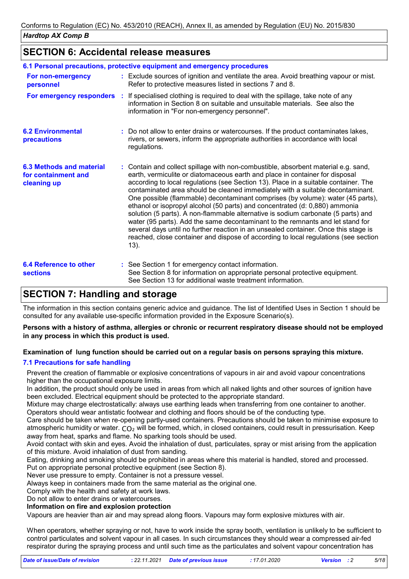## **SECTION 6: Accidental release measures**

|                                                                       | 6.1 Personal precautions, protective equipment and emergency procedures                                                                                                                                                                                                                                                                                                                                                                                                                                                                                                                                                                                                                                                                                                                                                                                                    |
|-----------------------------------------------------------------------|----------------------------------------------------------------------------------------------------------------------------------------------------------------------------------------------------------------------------------------------------------------------------------------------------------------------------------------------------------------------------------------------------------------------------------------------------------------------------------------------------------------------------------------------------------------------------------------------------------------------------------------------------------------------------------------------------------------------------------------------------------------------------------------------------------------------------------------------------------------------------|
| For non-emergency<br>personnel                                        | : Exclude sources of ignition and ventilate the area. Avoid breathing vapour or mist.<br>Refer to protective measures listed in sections 7 and 8.                                                                                                                                                                                                                                                                                                                                                                                                                                                                                                                                                                                                                                                                                                                          |
|                                                                       | <b>For emergency responders</b> : If specialised clothing is required to deal with the spillage, take note of any<br>information in Section 8 on suitable and unsuitable materials. See also the<br>information in "For non-emergency personnel".                                                                                                                                                                                                                                                                                                                                                                                                                                                                                                                                                                                                                          |
| <b>6.2 Environmental</b><br>precautions                               | : Do not allow to enter drains or watercourses. If the product contaminates lakes,<br>rivers, or sewers, inform the appropriate authorities in accordance with local<br>regulations.                                                                                                                                                                                                                                                                                                                                                                                                                                                                                                                                                                                                                                                                                       |
| <b>6.3 Methods and material</b><br>for containment and<br>cleaning up | : Contain and collect spillage with non-combustible, absorbent material e.g. sand,<br>earth, vermiculite or diatomaceous earth and place in container for disposal<br>according to local regulations (see Section 13). Place in a suitable container. The<br>contaminated area should be cleaned immediately with a suitable decontaminant.<br>One possible (flammable) decontaminant comprises (by volume): water (45 parts),<br>ethanol or isopropyl alcohol (50 parts) and concentrated (d: 0,880) ammonia<br>solution (5 parts). A non-flammable alternative is sodium carbonate (5 parts) and<br>water (95 parts). Add the same decontaminant to the remnants and let stand for<br>several days until no further reaction in an unsealed container. Once this stage is<br>reached, close container and dispose of according to local regulations (see section<br>13). |
| <b>6.4 Reference to other</b><br><b>sections</b>                      | : See Section 1 for emergency contact information.<br>See Section 8 for information on appropriate personal protective equipment.<br>See Section 13 for additional waste treatment information.                                                                                                                                                                                                                                                                                                                                                                                                                                                                                                                                                                                                                                                                            |

# **SECTION 7: Handling and storage**

The information in this section contains generic advice and guidance. The list of Identified Uses in Section 1 should be consulted for any available use-specific information provided in the Exposure Scenario(s).

#### **Persons with a history of asthma, allergies or chronic or recurrent respiratory disease should not be employed in any process in which this product is used.**

#### **Examination of lung function should be carried out on a regular basis on persons spraying this mixture.**

#### **7.1 Precautions for safe handling**

Prevent the creation of flammable or explosive concentrations of vapours in air and avoid vapour concentrations higher than the occupational exposure limits.

In addition, the product should only be used in areas from which all naked lights and other sources of ignition have been excluded. Electrical equipment should be protected to the appropriate standard.

Mixture may charge electrostatically: always use earthing leads when transferring from one container to another. Operators should wear antistatic footwear and clothing and floors should be of the conducting type.

Care should be taken when re-opening partly-used containers. Precautions should be taken to minimise exposure to atmospheric humidity or water.  $CO<sub>2</sub>$  will be formed, which, in closed containers, could result in pressurisation. Keep away from heat, sparks and flame. No sparking tools should be used.

Avoid contact with skin and eyes. Avoid the inhalation of dust, particulates, spray or mist arising from the application of this mixture. Avoid inhalation of dust from sanding.

Eating, drinking and smoking should be prohibited in areas where this material is handled, stored and processed. Put on appropriate personal protective equipment (see Section 8).

Never use pressure to empty. Container is not a pressure vessel.

Always keep in containers made from the same material as the original one.

Comply with the health and safety at work laws.

Do not allow to enter drains or watercourses.

#### **Information on fire and explosion protection**

Vapours are heavier than air and may spread along floors. Vapours may form explosive mixtures with air.

When operators, whether spraying or not, have to work inside the spray booth, ventilation is unlikely to be sufficient to control particulates and solvent vapour in all cases. In such circumstances they should wear a compressed air-fed respirator during the spraying process and until such time as the particulates and solvent vapour concentration has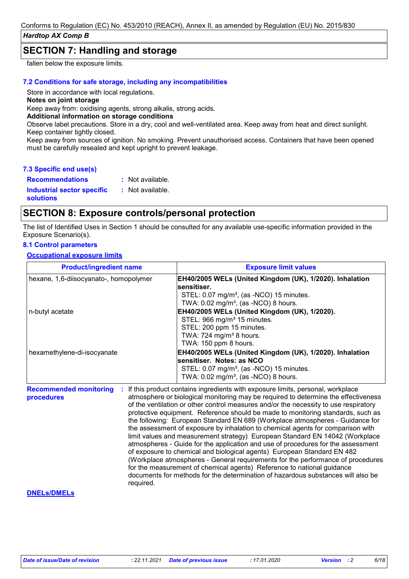## **SECTION 7: Handling and storage**

fallen below the exposure limits.

#### **7.2 Conditions for safe storage, including any incompatibilities**

Store in accordance with local regulations.

#### **Notes on joint storage**

Keep away from: oxidising agents, strong alkalis, strong acids.

#### **Additional information on storage conditions**

Observe label precautions. Store in a dry, cool and well-ventilated area. Keep away from heat and direct sunlight. Keep container tightly closed.

Keep away from sources of ignition. No smoking. Prevent unauthorised access. Containers that have been opened must be carefully resealed and kept upright to prevent leakage.

#### **7.3 Specific end use(s)**

**Recommendations : Industrial sector specific : solutions** : Not available. : Not available.

## **SECTION 8: Exposure controls/personal protection**

The list of Identified Uses in Section 1 should be consulted for any available use-specific information provided in the Exposure Scenario(s).

#### **8.1 Control parameters**

**Occupational exposure limits**

| <b>Product/ingredient name</b>                           | <b>Exposure limit values</b>                                                                                                                                                                                                                                                                                                                                                                                                                                                                                                                                                                                                                                                                                                                                                                                                                                                                                                                                                                                        |
|----------------------------------------------------------|---------------------------------------------------------------------------------------------------------------------------------------------------------------------------------------------------------------------------------------------------------------------------------------------------------------------------------------------------------------------------------------------------------------------------------------------------------------------------------------------------------------------------------------------------------------------------------------------------------------------------------------------------------------------------------------------------------------------------------------------------------------------------------------------------------------------------------------------------------------------------------------------------------------------------------------------------------------------------------------------------------------------|
| hexane, 1,6-diisocyanato-, homopolymer                   | EH40/2005 WELs (United Kingdom (UK), 1/2020). Inhalation<br>lsensitiser.<br>STEL: 0.07 mg/m <sup>3</sup> , (as -NCO) 15 minutes.<br>TWA: 0.02 mg/m <sup>3</sup> , (as -NCO) 8 hours.                                                                                                                                                                                                                                                                                                                                                                                                                                                                                                                                                                                                                                                                                                                                                                                                                                |
| n-butyl acetate                                          | EH40/2005 WELs (United Kingdom (UK), 1/2020).<br>STEL: 966 mg/m <sup>3</sup> 15 minutes.<br>STEL: 200 ppm 15 minutes.<br>TWA: 724 mg/m <sup>3</sup> 8 hours.<br>TWA: 150 ppm 8 hours.                                                                                                                                                                                                                                                                                                                                                                                                                                                                                                                                                                                                                                                                                                                                                                                                                               |
| hexamethylene-di-isocyanate                              | EH40/2005 WELs (United Kingdom (UK), 1/2020). Inhalation<br>sensitiser. Notes: as NCO<br>STEL: 0.07 mg/m <sup>3</sup> , (as -NCO) 15 minutes.<br>TWA: $0.02$ mg/m <sup>3</sup> , (as -NCO) 8 hours.                                                                                                                                                                                                                                                                                                                                                                                                                                                                                                                                                                                                                                                                                                                                                                                                                 |
| <b>Recommended monitoring</b><br>procedures<br>required. | If this product contains ingredients with exposure limits, personal, workplace<br>atmosphere or biological monitoring may be required to determine the effectiveness<br>of the ventilation or other control measures and/or the necessity to use respiratory<br>protective equipment. Reference should be made to monitoring standards, such as<br>the following: European Standard EN 689 (Workplace atmospheres - Guidance for<br>the assessment of exposure by inhalation to chemical agents for comparison with<br>limit values and measurement strategy) European Standard EN 14042 (Workplace<br>atmospheres - Guide for the application and use of procedures for the assessment<br>of exposure to chemical and biological agents) European Standard EN 482<br>(Workplace atmospheres - General requirements for the performance of procedures<br>for the measurement of chemical agents) Reference to national guidance<br>documents for methods for the determination of hazardous substances will also be |
| <b>DNELS/DMELS</b>                                       |                                                                                                                                                                                                                                                                                                                                                                                                                                                                                                                                                                                                                                                                                                                                                                                                                                                                                                                                                                                                                     |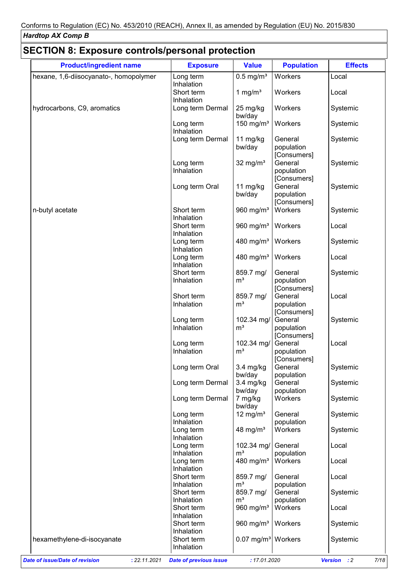| hexane, 1,6-diisocyanato-, homopolymer |                          |                                 |                                      | <b>Effects</b> |
|----------------------------------------|--------------------------|---------------------------------|--------------------------------------|----------------|
|                                        | Long term<br>Inhalation  | $0.5$ mg/m <sup>3</sup>         | Workers                              | Local          |
|                                        | Short term<br>Inhalation | 1 mg/ $m3$                      | Workers                              | Local          |
| hydrocarbons, C9, aromatics            | Long term Dermal         | 25 mg/kg<br>bw/day              | Workers                              | Systemic       |
|                                        | Long term<br>Inhalation  | 150 mg/m $3$                    | Workers                              | Systemic       |
|                                        | Long term Dermal         | 11 mg/kg<br>bw/day              | General<br>population<br>[Consumers] | Systemic       |
|                                        | Long term<br>Inhalation  | 32 mg/ $m3$                     | General<br>population<br>[Consumers] | Systemic       |
|                                        | Long term Oral           | 11 $mg/kg$<br>bw/day            | General<br>population<br>[Consumers] | Systemic       |
| n-butyl acetate                        | Short term<br>Inhalation | 960 $mg/m3$                     | Workers                              | Systemic       |
|                                        | Short term<br>Inhalation | 960 mg/m <sup>3</sup>           | Workers                              | Local          |
|                                        | Long term<br>Inhalation  | 480 mg/m <sup>3</sup>           | Workers                              | Systemic       |
|                                        | Long term<br>Inhalation  | 480 mg/m <sup>3</sup>           | Workers                              | Local          |
|                                        | Short term<br>Inhalation | 859.7 mg/<br>m <sup>3</sup>     | General<br>population                | Systemic       |
|                                        | Short term               | 859.7 mg/                       | [Consumers]<br>General               | Local          |
|                                        | Inhalation               | m <sup>3</sup>                  | population<br>[Consumers]            |                |
|                                        | Long term<br>Inhalation  | 102.34 mg/<br>m <sup>3</sup>    | General<br>population<br>[Consumers] | Systemic       |
|                                        | Long term<br>Inhalation  | 102.34 mg/<br>m <sup>3</sup>    | General<br>population<br>[Consumers] | Local          |
|                                        | Long term Oral           | $3.4$ mg/kg<br>bw/day           | General<br>population                | Systemic       |
|                                        | Long term Dermal         | 3.4 mg/kg<br>bw/day             | General<br>population                | Systemic       |
|                                        | Long term Dermal         | 7 mg/kg<br>bw/day               | Workers                              | Systemic       |
|                                        | Long term<br>Inhalation  | 12 mg/ $m3$                     | General<br>population                | Systemic       |
|                                        | Long term<br>Inhalation  | 48 mg/ $m3$                     | Workers                              | Systemic       |
|                                        | Long term<br>Inhalation  | 102.34 mg/<br>m <sup>3</sup>    | General<br>population                | Local          |
|                                        | Long term<br>Inhalation  | 480 mg/m <sup>3</sup>           | Workers                              | Local          |
|                                        | Short term<br>Inhalation | 859.7 mg/<br>m <sup>3</sup>     | General<br>population                | Local          |
|                                        | Short term<br>Inhalation | 859.7 mg/<br>m <sup>3</sup>     | General<br>population                | Systemic       |
|                                        | Short term<br>Inhalation | 960 mg/m <sup>3</sup>           | Workers                              | Local          |
|                                        | Short term<br>Inhalation | 960 mg/m <sup>3</sup>   Workers |                                      | Systemic       |
| hexamethylene-di-isocyanate            | Short term<br>Inhalation | 0.07 mg/m <sup>3</sup> Workers  |                                      | Systemic       |

#### *Date of issue/Date of revision* **:** *22.11.2021 Date of previous issue : 17.01.2020 Version : 2 7/18*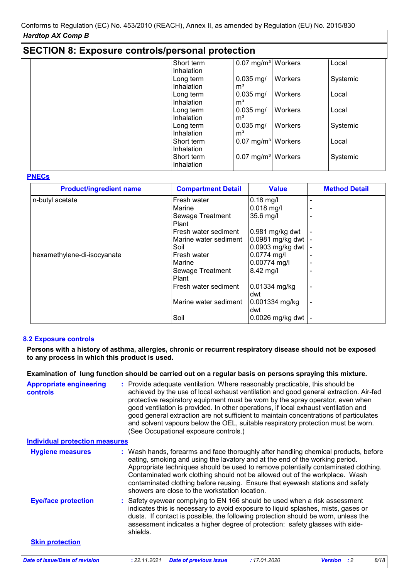|  | <b>SECTION 8: Exposure controls/personal protection</b> |  |  |
|--|---------------------------------------------------------|--|--|
|--|---------------------------------------------------------|--|--|

|  | Short term                          | 0.07 mg/m <sup>3</sup> Workers   | Local    |
|--|-------------------------------------|----------------------------------|----------|
|  | Inhalation                          |                                  |          |
|  | $0.035$ mg/<br>Long term            | Workers                          | Systemic |
|  | Inhalation<br>m <sup>3</sup>        |                                  |          |
|  | $0.035$ mg/<br>Long term            | Workers                          | Local    |
|  | Inhalation<br>m <sup>3</sup>        |                                  |          |
|  | $0.035$ mg/<br>Long term            | Workers                          | Local    |
|  | m <sup>3</sup><br><b>Inhalation</b> |                                  |          |
|  | $0.035$ mg/<br>Long term            | Workers                          | Systemic |
|  | m <sup>3</sup><br>Inhalation        |                                  |          |
|  | Short term                          | $0.07$ mg/m <sup>3</sup> Workers | Local    |
|  | Inhalation                          |                                  |          |
|  | Short term                          | $0.07$ mg/m <sup>3</sup> Workers | Systemic |
|  | Inhalation                          |                                  |          |
|  |                                     |                                  |          |

#### **PNECs**

| <b>Product/ingredient name</b> | <b>Compartment Detail</b> | <b>Value</b>        | <b>Method Detail</b> |
|--------------------------------|---------------------------|---------------------|----------------------|
| n-butyl acetate                | Fresh water               | $0.18$ mg/l         |                      |
|                                | Marine                    | $0.018$ mg/l        |                      |
|                                | Sewage Treatment          | 35.6 mg/l           |                      |
|                                | Plant                     |                     |                      |
|                                | Fresh water sediment      | $0.981$ mg/kg dwt   |                      |
|                                | Marine water sediment     | 0.0981 mg/kg dwt    |                      |
|                                | Soil                      | 0.0903 mg/kg dwt    |                      |
| hexamethylene-di-isocyanate    | Fresh water               | $0.0774$ mg/l       |                      |
|                                | Marine                    | 0.00774 mg/l        |                      |
|                                | Sewage Treatment          | $8.42 \text{ mg/l}$ |                      |
|                                | Plant                     |                     |                      |
|                                | Fresh water sediment      | 0.01334 mg/kg       |                      |
|                                |                           | dwt                 |                      |
|                                | Marine water sediment     | 0.001334 mg/kg      |                      |
|                                |                           | ldwt                |                      |
|                                | Soil                      | 0.0026 mg/kg dwt    |                      |

#### **8.2 Exposure controls**

**Persons with a history of asthma, allergies, chronic or recurrent respiratory disease should not be exposed to any process in which this product is used.**

**Examination of lung function should be carried out on a regular basis on persons spraying this mixture.**

| <b>Appropriate engineering</b><br><b>controls</b> | : Provide adequate ventilation. Where reasonably practicable, this should be<br>achieved by the use of local exhaust ventilation and good general extraction. Air-fed<br>protective respiratory equipment must be worn by the spray operator, even when<br>good ventilation is provided. In other operations, if local exhaust ventilation and<br>good general extraction are not sufficient to maintain concentrations of particulates<br>and solvent vapours below the OEL, suitable respiratory protection must be worn.<br>(See Occupational exposure controls.) |
|---------------------------------------------------|----------------------------------------------------------------------------------------------------------------------------------------------------------------------------------------------------------------------------------------------------------------------------------------------------------------------------------------------------------------------------------------------------------------------------------------------------------------------------------------------------------------------------------------------------------------------|
| <b>Individual protection measures</b>             |                                                                                                                                                                                                                                                                                                                                                                                                                                                                                                                                                                      |
| <b>Hygiene measures</b>                           | : Wash hands, forearms and face thoroughly after handling chemical products, before<br>eating, smoking and using the lavatory and at the end of the working period.<br>Appropriate techniques should be used to remove potentially contaminated clothing.<br>Contaminated work clothing should not be allowed out of the workplace. Wash<br>contaminated clothing before reusing. Ensure that eyewash stations and safety<br>showers are close to the workstation location.                                                                                          |
| <b>Eye/face protection</b>                        | : Safety eyewear complying to EN 166 should be used when a risk assessment<br>indicates this is necessary to avoid exposure to liquid splashes, mists, gases or<br>dusts. If contact is possible, the following protection should be worn, unless the<br>assessment indicates a higher degree of protection: safety glasses with side-<br>shields.                                                                                                                                                                                                                   |
| <b>Skin protection</b>                            |                                                                                                                                                                                                                                                                                                                                                                                                                                                                                                                                                                      |
| <b>Date of issue/Date of revision</b>             | 8/18<br>: 22.11.2021<br><b>Date of previous issue</b><br>:17.01.2020<br><b>Version</b><br>$\cdot$ : 2                                                                                                                                                                                                                                                                                                                                                                                                                                                                |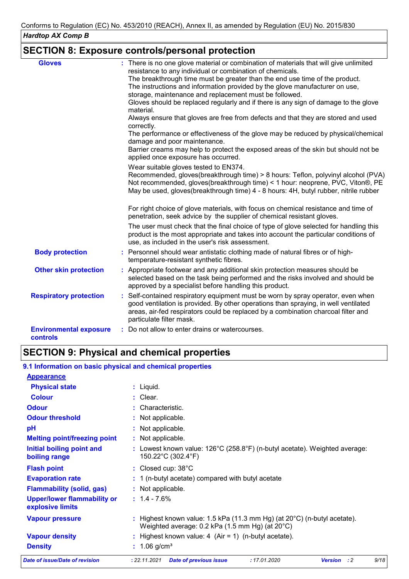# **SECTION 8: Exposure controls/personal protection**

| <b>Gloves</b>                                    | : There is no one glove material or combination of materials that will give unlimited<br>resistance to any individual or combination of chemicals.<br>The breakthrough time must be greater than the end use time of the product.<br>The instructions and information provided by the glove manufacturer on use,<br>storage, maintenance and replacement must be followed.<br>Gloves should be replaced regularly and if there is any sign of damage to the glove<br>material.<br>Always ensure that gloves are free from defects and that they are stored and used<br>correctly.<br>The performance or effectiveness of the glove may be reduced by physical/chemical<br>damage and poor maintenance.<br>Barrier creams may help to protect the exposed areas of the skin but should not be<br>applied once exposure has occurred.<br>Wear suitable gloves tested to EN374.<br>Recommended, gloves(breakthrough time) > 8 hours: Teflon, polyvinyl alcohol (PVA)<br>Not recommended, gloves(breakthrough time) < 1 hour: neoprene, PVC, Viton®, PE<br>May be used, gloves (breakthrough time) 4 - 8 hours: 4H, butyl rubber, nitrile rubber |
|--------------------------------------------------|----------------------------------------------------------------------------------------------------------------------------------------------------------------------------------------------------------------------------------------------------------------------------------------------------------------------------------------------------------------------------------------------------------------------------------------------------------------------------------------------------------------------------------------------------------------------------------------------------------------------------------------------------------------------------------------------------------------------------------------------------------------------------------------------------------------------------------------------------------------------------------------------------------------------------------------------------------------------------------------------------------------------------------------------------------------------------------------------------------------------------------------------|
|                                                  | For right choice of glove materials, with focus on chemical resistance and time of<br>penetration, seek advice by the supplier of chemical resistant gloves.                                                                                                                                                                                                                                                                                                                                                                                                                                                                                                                                                                                                                                                                                                                                                                                                                                                                                                                                                                                 |
|                                                  | The user must check that the final choice of type of glove selected for handling this<br>product is the most appropriate and takes into account the particular conditions of<br>use, as included in the user's risk assessment.                                                                                                                                                                                                                                                                                                                                                                                                                                                                                                                                                                                                                                                                                                                                                                                                                                                                                                              |
| <b>Body protection</b>                           | : Personnel should wear antistatic clothing made of natural fibres or of high-<br>temperature-resistant synthetic fibres.                                                                                                                                                                                                                                                                                                                                                                                                                                                                                                                                                                                                                                                                                                                                                                                                                                                                                                                                                                                                                    |
| <b>Other skin protection</b>                     | : Appropriate footwear and any additional skin protection measures should be<br>selected based on the task being performed and the risks involved and should be<br>approved by a specialist before handling this product.                                                                                                                                                                                                                                                                                                                                                                                                                                                                                                                                                                                                                                                                                                                                                                                                                                                                                                                    |
| <b>Respiratory protection</b>                    | : Self-contained respiratory equipment must be worn by spray operator, even when<br>good ventilation is provided. By other operations than spraying, in well ventilated<br>areas, air-fed respirators could be replaced by a combination charcoal filter and<br>particulate filter mask.                                                                                                                                                                                                                                                                                                                                                                                                                                                                                                                                                                                                                                                                                                                                                                                                                                                     |
| <b>Environmental exposure</b><br><b>controls</b> | : Do not allow to enter drains or watercourses.                                                                                                                                                                                                                                                                                                                                                                                                                                                                                                                                                                                                                                                                                                                                                                                                                                                                                                                                                                                                                                                                                              |

# **SECTION 9: Physical and chemical properties**

| 9.1 Information on basic physical and chemical properties |  |
|-----------------------------------------------------------|--|
|-----------------------------------------------------------|--|

| Date of issue/Date of revision                         | 9/18<br>: 22.11.2021<br><b>Date of previous issue</b><br>:17.01.2020<br>$\cdot$ : 2<br><b>Version</b>                                                     |
|--------------------------------------------------------|-----------------------------------------------------------------------------------------------------------------------------------------------------------|
| <b>Density</b>                                         | : $1.06$ g/cm <sup>3</sup>                                                                                                                                |
| <b>Vapour density</b>                                  | : Highest known value: $4$ (Air = 1) (n-butyl acetate).                                                                                                   |
| <b>Vapour pressure</b>                                 | : Highest known value: 1.5 kPa (11.3 mm Hg) (at $20^{\circ}$ C) (n-butyl acetate).<br>Weighted average: 0.2 kPa $(1.5 \text{ mm Hg})$ (at $20^{\circ}$ C) |
| <b>Upper/lower flammability or</b><br>explosive limits | $: 1.4 - 7.6\%$                                                                                                                                           |
| <b>Flammability (solid, gas)</b>                       | : Not applicable.                                                                                                                                         |
| <b>Evaporation rate</b>                                | $: 1$ (n-butyl acetate) compared with butyl acetate                                                                                                       |
| <b>Flash point</b>                                     | : Closed cup: 38°C                                                                                                                                        |
| Initial boiling point and<br>boiling range             | : Lowest known value: $126^{\circ}$ C (258.8 $^{\circ}$ F) (n-butyl acetate). Weighted average:<br>150.22°C (302.4°F)                                     |
| <b>Melting point/freezing point</b>                    | : Not applicable.                                                                                                                                         |
| pH                                                     | : Not applicable.                                                                                                                                         |
| <b>Odour threshold</b>                                 | : Not applicable.                                                                                                                                         |
| <b>Odour</b>                                           | : Characteristic.                                                                                                                                         |
| <b>Colour</b>                                          | $:$ Clear.                                                                                                                                                |
| <b>Physical state</b>                                  | $:$ Liquid.                                                                                                                                               |
| <b>Appearance</b>                                      |                                                                                                                                                           |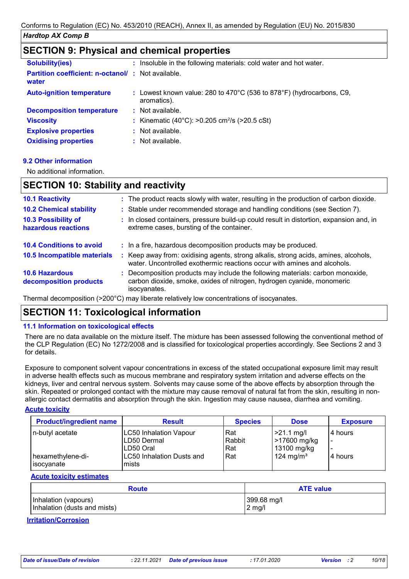## **SECTION 9: Physical and chemical properties**

| <b>Solubility(ies)</b>                                            | : Insoluble in the following materials: cold water and hot water.                   |
|-------------------------------------------------------------------|-------------------------------------------------------------------------------------|
| <b>Partition coefficient: n-octanol/: Not available.</b><br>water |                                                                                     |
| <b>Auto-ignition temperature</b>                                  | : Lowest known value: 280 to 470°C (536 to 878°F) (hydrocarbons, C9,<br>aromatics). |
| <b>Decomposition temperature</b>                                  | $:$ Not available.                                                                  |
| <b>Viscosity</b>                                                  | : Kinematic (40°C): >0.205 cm <sup>2</sup> /s (>20.5 cSt)                           |
| <b>Explosive properties</b>                                       | $:$ Not available.                                                                  |
| <b>Oxidising properties</b>                                       | : Not available.                                                                    |

#### **9.2 Other information**

No additional information.

#### **SECTION 10: Stability and reactivity**

| <b>10.1 Reactivity</b>                            | : The product reacts slowly with water, resulting in the production of carbon dioxide.                                                                                   |
|---------------------------------------------------|--------------------------------------------------------------------------------------------------------------------------------------------------------------------------|
| <b>10.2 Chemical stability</b>                    | : Stable under recommended storage and handling conditions (see Section 7).                                                                                              |
| <b>10.3 Possibility of</b><br>hazardous reactions | : In closed containers, pressure build-up could result in distortion, expansion and, in<br>extreme cases, bursting of the container.                                     |
| <b>10.4 Conditions to avoid</b>                   | : In a fire, hazardous decomposition products may be produced.                                                                                                           |
| 10.5 Incompatible materials                       | Keep away from: oxidising agents, strong alkalis, strong acids, amines, alcohols,<br>÷<br>water. Uncontrolled exothermic reactions occur with amines and alcohols.       |
| <b>10.6 Hazardous</b><br>decomposition products   | : Decomposition products may include the following materials: carbon monoxide,<br>carbon dioxide, smoke, oxides of nitrogen, hydrogen cyanide, monomeric<br>isocyanates. |
|                                                   | The succeded and contained to 00000 providing the sector selection of the containing of the contact of the contact of                                                    |

Thermal decomposition (>200°C) may liberate relatively low concentrations of isocyanates.

### **SECTION 11: Toxicological information**

#### **11.1 Information on toxicological effects**

There are no data available on the mixture itself. The mixture has been assessed following the conventional method of the CLP Regulation (EC) No 1272/2008 and is classified for toxicological properties accordingly. See Sections 2 and 3 for details.

Exposure to component solvent vapour concentrations in excess of the stated occupational exposure limit may result in adverse health effects such as mucous membrane and respiratory system irritation and adverse effects on the kidneys, liver and central nervous system. Solvents may cause some of the above effects by absorption through the skin. Repeated or prolonged contact with the mixture may cause removal of natural fat from the skin, resulting in nonallergic contact dermatitis and absorption through the skin. Ingestion may cause nausea, diarrhea and vomiting.

#### **Acute toxicity**

| <b>Product/ingredient name</b> | <b>Result</b>                 | <b>Species</b> | <b>Dose</b>           | <b>Exposure</b> |
|--------------------------------|-------------------------------|----------------|-----------------------|-----------------|
| n-butyl acetate                | <b>LC50 Inhalation Vapour</b> | Rat            | $  >21.1$ mg/l        | 4 hours         |
|                                | LD50 Dermal                   | Rabbit         | >17600 mg/kg          | $\blacksquare$  |
|                                | ILD50 Oral                    | Rat            | 13100 mg/kg           |                 |
| hexamethylene-di-              | LC50 Inhalation Dusts and     | Rat            | 124 mg/m <sup>3</sup> | 4 hours         |
| ∣isocγanate                    | mists                         |                |                       |                 |

#### **Acute toxicity estimates**

| <b>Route</b>                 | <b>ATE value</b> |
|------------------------------|------------------|
| Inhalation (vapours)         | 399.68 mg/l      |
| Inhalation (dusts and mists) | $2$ mg/l         |

#### **Irritation/Corrosion**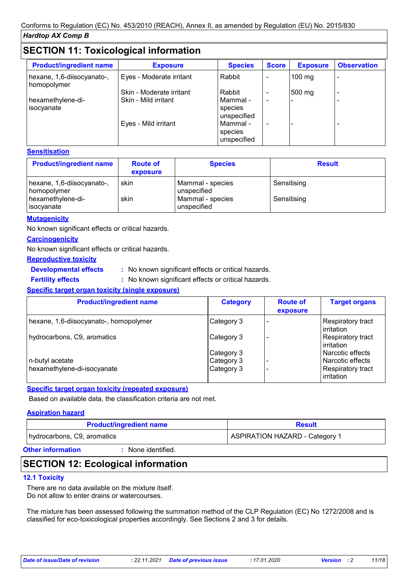# **SECTION 11: Toxicological information**

| <b>Product/ingredient name</b>            | <b>Exposure</b>          | <b>Species</b>                     | <b>Score</b>             | <b>Exposure</b>  | <b>Observation</b> |
|-------------------------------------------|--------------------------|------------------------------------|--------------------------|------------------|--------------------|
| hexane, 1,6-diisocyanato-,<br>homopolymer | Eyes - Moderate irritant | Rabbit                             |                          | $100 \text{ mg}$ |                    |
|                                           | Skin - Moderate irritant | Rabbit                             | $\overline{\phantom{0}}$ | 500 mg           | -                  |
| hexamethylene-di-<br>isocyanate           | Skin - Mild irritant     | Mammal -<br>species<br>unspecified | $\overline{\phantom{0}}$ |                  |                    |
|                                           | Eyes - Mild irritant     | Mammal -<br>species<br>unspecified |                          |                  |                    |

#### **Sensitisation**

| <b>Product/ingredient name</b>            | <b>Route of</b><br>exposure | <b>Species</b>                  | <b>Result</b> |
|-------------------------------------------|-----------------------------|---------------------------------|---------------|
| hexane, 1,6-diisocyanato-,<br>homopolymer | skin                        | Mammal - species<br>unspecified | Sensitising   |
| hexamethylene-di-<br>isocyanate           | skin                        | Mammal - species<br>unspecified | Sensitising   |

#### **Mutagenicity**

No known significant effects or critical hazards.

#### **Carcinogenicity**

No known significant effects or critical hazards.

#### **Reproductive toxicity**

**Developmental effects :**

: No known significant effects or critical hazards.

**Fertility effects :**

: No known significant effects or critical hazards.

#### **Specific target organ toxicity (single exposure)**

| <b>Product/ingredient name</b>         | <b>Category</b> | <b>Route of</b><br>exposure | <b>Target organs</b>            |
|----------------------------------------|-----------------|-----------------------------|---------------------------------|
| hexane, 1,6-diisocyanato-, homopolymer | Category 3      |                             | Respiratory tract<br>irritation |
| hydrocarbons, C9, aromatics            | Category 3      |                             | Respiratory tract<br>irritation |
|                                        | Category 3      |                             | Narcotic effects                |
| n-butyl acetate                        | Category 3      |                             | Narcotic effects                |
| hexamethylene-di-isocyanate            | Category 3      |                             | Respiratory tract<br>irritation |

#### **Specific target organ toxicity (repeated exposure)**

Based on available data, the classification criteria are not met.

#### **Aspiration hazard**

| <b>Product/ingredient name</b>        | <b>Result</b>                         |
|---------------------------------------|---------------------------------------|
| hydrocarbons, C9, aromatics           | <b>ASPIRATION HAZARD - Category 1</b> |
| Other Lefematics<br>Alana idantifical |                                       |

#### **Other information :**

None identified.

# **SECTION 12: Ecological information**

#### **12.1 Toxicity**

There are no data available on the mixture itself. Do not allow to enter drains or watercourses.

The mixture has been assessed following the summation method of the CLP Regulation (EC) No 1272/2008 and is classified for eco-toxicological properties accordingly. See Sections 2 and 3 for details.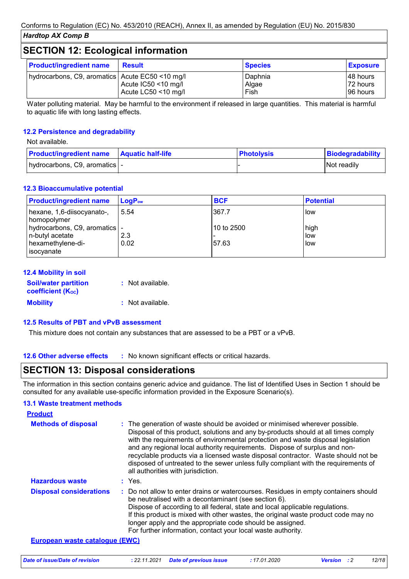# **SECTION 12: Ecological information**

| <b>Product/ingredient name</b>                  | <b>Result</b>                              | <b>Species</b>           | <b>Exposure</b>                    |
|-------------------------------------------------|--------------------------------------------|--------------------------|------------------------------------|
| hydrocarbons, C9, aromatics Acute EC50 <10 mg/l | Acute IC50 <10 mg/l<br>Acute LC50 <10 mg/l | Daphnia<br>Algae<br>Fish | ∣48 hours<br>72 hours<br>196 hours |

Water polluting material. May be harmful to the environment if released in large quantities. This material is harmful to aquatic life with long lasting effects.

#### **12.2 Persistence and degradability**

#### Not available.

| <b>Product/ingredient name   Aquatic half-life</b> | <b>Photolysis</b> | Biodegradability |
|----------------------------------------------------|-------------------|------------------|
| hydrocarbons, C9, aromatics   -                    |                   | Not readily      |

#### **12.3 Bioaccumulative potential**

| <b>Product/ingredient name</b>                                                        | $\mathsf{LogP}_\mathsf{ow}$ | <b>BCF</b>          | <b>Potential</b>    |
|---------------------------------------------------------------------------------------|-----------------------------|---------------------|---------------------|
| hexane, 1,6-diisocyanato-,<br>homopolymer                                             | 5.54                        | 367.7               | l low               |
| hydrocarbons, C9, aromatics   -<br>n-butyl acetate<br>hexamethylene-di-<br>isocyanate | 2.3<br>0.02                 | 10 to 2500<br>57.63 | high<br>low<br>llow |

| <b>12.4 Mobility in soil</b>                            |                  |
|---------------------------------------------------------|------------------|
| <b>Soil/water partition</b><br><b>coefficient (Koc)</b> | : Not available. |
| <b>Mobility</b>                                         | : Not available. |

#### **12.5 Results of PBT and vPvB assessment**

This mixture does not contain any substances that are assessed to be a PBT or a vPvB.

**12.6 Other adverse effects** : No known significant effects or critical hazards.

### **SECTION 13: Disposal considerations**

The information in this section contains generic advice and guidance. The list of Identified Uses in Section 1 should be consulted for any available use-specific information provided in the Exposure Scenario(s).

#### **13.1 Waste treatment methods**

| <b>Product</b>                        |                                                                                                                                                                                                                                                                                                                                                                                                                                                                                                                                                      |
|---------------------------------------|------------------------------------------------------------------------------------------------------------------------------------------------------------------------------------------------------------------------------------------------------------------------------------------------------------------------------------------------------------------------------------------------------------------------------------------------------------------------------------------------------------------------------------------------------|
| <b>Methods of disposal</b>            | : The generation of waste should be avoided or minimised wherever possible.<br>Disposal of this product, solutions and any by-products should at all times comply<br>with the requirements of environmental protection and waste disposal legislation<br>and any regional local authority requirements. Dispose of surplus and non-<br>recyclable products via a licensed waste disposal contractor. Waste should not be<br>disposed of untreated to the sewer unless fully compliant with the requirements of<br>all authorities with jurisdiction. |
| <b>Hazardous waste</b>                | : Yes.                                                                                                                                                                                                                                                                                                                                                                                                                                                                                                                                               |
| <b>Disposal considerations</b>        | : Do not allow to enter drains or watercourses. Residues in empty containers should<br>be neutralised with a decontaminant (see section 6).<br>Dispose of according to all federal, state and local applicable regulations.<br>If this product is mixed with other wastes, the original waste product code may no<br>longer apply and the appropriate code should be assigned.<br>For further information, contact your local waste authority.                                                                                                       |
| <b>European waste catalogue (EWC)</b> |                                                                                                                                                                                                                                                                                                                                                                                                                                                                                                                                                      |

|  | Date of issue/Date of revision |  | : 22.11.2021 Date of previous issue | : 17.01.2020 | <b>Version</b> : 2 | 12/18 |
|--|--------------------------------|--|-------------------------------------|--------------|--------------------|-------|
|--|--------------------------------|--|-------------------------------------|--------------|--------------------|-------|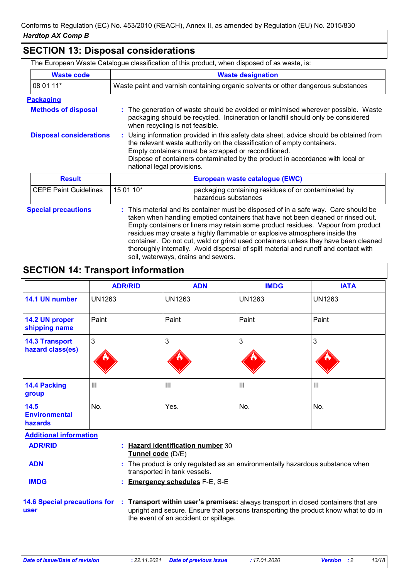# **SECTION 13: Disposal considerations**

The European Waste Catalogue classification of this product, when disposed of as waste, is:

| <b>Waste code</b>                                                                                                                                                                                                                                                                                                                                                                                                                                                                                                                                                                           | <b>Waste designation</b>                                                                                                                                                                                                                                                                                                                |  |  |
|---------------------------------------------------------------------------------------------------------------------------------------------------------------------------------------------------------------------------------------------------------------------------------------------------------------------------------------------------------------------------------------------------------------------------------------------------------------------------------------------------------------------------------------------------------------------------------------------|-----------------------------------------------------------------------------------------------------------------------------------------------------------------------------------------------------------------------------------------------------------------------------------------------------------------------------------------|--|--|
| 08 01 11*                                                                                                                                                                                                                                                                                                                                                                                                                                                                                                                                                                                   | Waste paint and varnish containing organic solvents or other dangerous substances                                                                                                                                                                                                                                                       |  |  |
| <b>Packaging</b>                                                                                                                                                                                                                                                                                                                                                                                                                                                                                                                                                                            |                                                                                                                                                                                                                                                                                                                                         |  |  |
| <b>Methods of disposal</b>                                                                                                                                                                                                                                                                                                                                                                                                                                                                                                                                                                  | The generation of waste should be avoided or minimised wherever possible. Waste<br>packaging should be recycled. Incineration or landfill should only be considered<br>when recycling is not feasible.                                                                                                                                  |  |  |
| <b>Disposal considerations</b>                                                                                                                                                                                                                                                                                                                                                                                                                                                                                                                                                              | : Using information provided in this safety data sheet, advice should be obtained from<br>the relevant waste authority on the classification of empty containers.<br>Empty containers must be scrapped or reconditioned.<br>Dispose of containers contaminated by the product in accordance with local or<br>national legal provisions. |  |  |
| <b>Result</b>                                                                                                                                                                                                                                                                                                                                                                                                                                                                                                                                                                               | European waste catalogue (EWC)                                                                                                                                                                                                                                                                                                          |  |  |
| <b>CEPE Paint Guidelines</b>                                                                                                                                                                                                                                                                                                                                                                                                                                                                                                                                                                | 15 01 10*<br>packaging containing residues of or contaminated by<br>hazardous substances                                                                                                                                                                                                                                                |  |  |
| <b>Special precautions</b><br>: This material and its container must be disposed of in a safe way. Care should be<br>taken when handling emptied containers that have not been cleaned or rinsed out.<br>Empty containers or liners may retain some product residues. Vapour from product<br>residues may create a highly flammable or explosive atmosphere inside the<br>container. Do not cut, weld or grind used containers unless they have been cleaned<br>thoroughly internally. Avoid dispersal of spilt material and runoff and contact with<br>soil, waterways, drains and sewers. |                                                                                                                                                                                                                                                                                                                                         |  |  |

# **SECTION 14: Transport information**

|                                                | <b>ADR/RID</b>                                                                                                     | <b>ADN</b>                          | <b>IMDG</b>    | <b>IATA</b>   |
|------------------------------------------------|--------------------------------------------------------------------------------------------------------------------|-------------------------------------|----------------|---------------|
| 14.1 UN number                                 | <b>UN1263</b>                                                                                                      | <b>UN1263</b>                       | <b>UN1263</b>  | <b>UN1263</b> |
| <b>14.2 UN proper</b><br>shipping name         | Paint                                                                                                              | Paint                               | Paint          | Paint         |
| <b>14.3 Transport</b><br>hazard class(es)      | 3                                                                                                                  | 3                                   | $\mathbf{3}$   | 3             |
| <b>14.4 Packing</b><br>group                   | III                                                                                                                | III                                 | $\mathbf{III}$ | III           |
| 14.5<br><b>Environmental</b><br><b>hazards</b> | No.                                                                                                                | Yes.                                | No.            | No.           |
| <b>Additional information</b>                  |                                                                                                                    |                                     |                |               |
| <b>ADR/RID</b>                                 | Hazard identification number 30<br>÷<br>Tunnel code (D/E)                                                          |                                     |                |               |
| <b>ADN</b>                                     | The product is only regulated as an environmentally hazardous substance when<br>t.<br>transported in tank vessels. |                                     |                |               |
| <b>IMDG</b>                                    |                                                                                                                    | <b>Emergency schedules F-E, S-E</b> |                |               |

**14.6 Special precautions for Transport within user's premises:** always transport in closed containers that are **: user** upright and secure. Ensure that persons transporting the product know what to do in the event of an accident or spillage.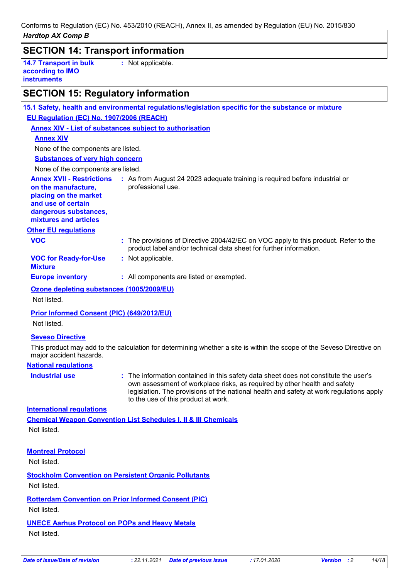| uarutup AA Gump D                                                                                                                                        |                                                                                                                                                           |
|----------------------------------------------------------------------------------------------------------------------------------------------------------|-----------------------------------------------------------------------------------------------------------------------------------------------------------|
| <b>SECTION 14: Transport information</b>                                                                                                                 |                                                                                                                                                           |
| <b>14.7 Transport in bulk</b><br>according to IMO<br><b>instruments</b>                                                                                  | : Not applicable.                                                                                                                                         |
| <b>SECTION 15: Regulatory information</b>                                                                                                                |                                                                                                                                                           |
|                                                                                                                                                          | 15.1 Safety, health and environmental regulations/legislation specific for the substance or mixture                                                       |
| EU Regulation (EC) No. 1907/2006 (REACH)                                                                                                                 |                                                                                                                                                           |
|                                                                                                                                                          | <b>Annex XIV - List of substances subject to authorisation</b>                                                                                            |
| <b>Annex XIV</b>                                                                                                                                         |                                                                                                                                                           |
| None of the components are listed.                                                                                                                       |                                                                                                                                                           |
| <b>Substances of very high concern</b>                                                                                                                   |                                                                                                                                                           |
| None of the components are listed.                                                                                                                       |                                                                                                                                                           |
| <b>Annex XVII - Restrictions</b><br>on the manufacture,<br>placing on the market<br>and use of certain<br>dangerous substances,<br>mixtures and articles | : As from August 24 2023 adequate training is required before industrial or<br>professional use.                                                          |
| <b>Other EU regulations</b>                                                                                                                              |                                                                                                                                                           |
| <b>VOC</b>                                                                                                                                               | : The provisions of Directive 2004/42/EC on VOC apply to this product. Refer to the<br>product label and/or technical data sheet for further information. |
| <b>VOC for Ready-for-Use</b><br><b>Mixture</b>                                                                                                           | : Not applicable.                                                                                                                                         |
| <b>Europe inventory</b>                                                                                                                                  | : All components are listed or exempted.                                                                                                                  |
| Ozone depleting substances (1005/2009/EU)                                                                                                                |                                                                                                                                                           |
| Not listed.                                                                                                                                              |                                                                                                                                                           |
| <b>Prior Informed Consent (PIC) (649/2012/EU)</b><br>Not listed.                                                                                         |                                                                                                                                                           |
| <b>Seveso Directive</b><br>major accident hazards.                                                                                                       | This product may add to the calculation for determining whether a site is within the scope of the Seveso Directive on                                     |

#### **National regulations**

**Industrial use <b>:** The information contained in this safety data sheet does not constitute the user's own assessment of workplace risks, as required by other health and safety legislation. The provisions of the national health and safety at work regulations apply to the use of this product at work.

#### **International regulations**

**Chemical Weapon Convention List Schedules I, II & III Chemicals**

Not listed.

#### **Montreal Protocol**

Not listed.

**Stockholm Convention on Persistent Organic Pollutants** Not listed.

**Rotterdam Convention on Prior Informed Consent (PIC)**

Not listed.

#### **UNECE Aarhus Protocol on POPs and Heavy Metals**

Not listed.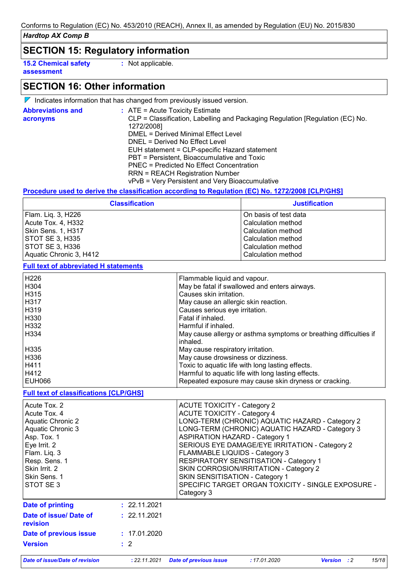**SECTION 15: Regulatory information**

**15.2 Chemical safety assessment**

**:** Not applicable.

# **SECTION 16: Other information**

 $\nabla$  Indicates information that has changed from previously issued version.

| <b>Abbreviations and</b><br>acronyms | $\therefore$ ATE = Acute Toxicity Estimate<br>CLP = Classification, Labelling and Packaging Regulation [Regulation (EC) No. |
|--------------------------------------|-----------------------------------------------------------------------------------------------------------------------------|
|                                      | 1272/2008]<br>DMEL = Derived Minimal Effect Level                                                                           |
|                                      |                                                                                                                             |
|                                      | DNEL = Derived No Effect Level                                                                                              |
|                                      | EUH statement = CLP-specific Hazard statement                                                                               |
|                                      | PBT = Persistent, Bioaccumulative and Toxic                                                                                 |
|                                      | PNEC = Predicted No Effect Concentration                                                                                    |
|                                      | <b>RRN = REACH Registration Number</b>                                                                                      |
|                                      | vPvB = Very Persistent and Very Bioaccumulative                                                                             |

#### **Procedure used to derive the classification according to Regulation (EC) No. 1272/2008 [CLP/GHS]**

| <b>Classification</b>   | <b>Justification</b>  |
|-------------------------|-----------------------|
| Flam. Lig. 3, H226      | On basis of test data |
| Acute Tox. 4, H332      | Calculation method    |
| Skin Sens. 1, H317      | Calculation method    |
| STOT SE 3, H335         | Calculation method    |
| STOT SE 3, H336         | Calculation method    |
| Aquatic Chronic 3, H412 | Calculation method    |

**Full text of abbreviated H statements**

| H226   | Flammable liquid and vapour.                                      |
|--------|-------------------------------------------------------------------|
| H304   | May be fatal if swallowed and enters airways.                     |
| H315   | Causes skin irritation.                                           |
| H317   | May cause an allergic skin reaction.                              |
| H319   | Causes serious eye irritation.                                    |
| l H330 | Fatal if inhaled.                                                 |
| H332   | Harmful if inhaled.                                               |
| l H334 | May cause allergy or asthma symptoms or breathing difficulties if |
|        | inhaled.                                                          |
| H335   | May cause respiratory irritation.                                 |
| H336   | May cause drowsiness or dizziness.                                |
| H411   | Toxic to aquatic life with long lasting effects.                  |
| H412   | Harmful to aquatic life with long lasting effects.                |
| EUH066 | Repeated exposure may cause skin dryness or cracking.             |
|        |                                                                   |

#### **Full text of classifications [CLP/GHS]**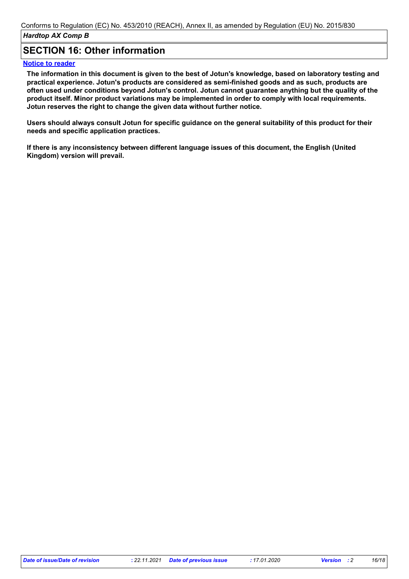## **SECTION 16: Other information**

#### **Notice to reader**

**The information in this document is given to the best of Jotun's knowledge, based on laboratory testing and practical experience. Jotun's products are considered as semi-finished goods and as such, products are often used under conditions beyond Jotun's control. Jotun cannot guarantee anything but the quality of the product itself. Minor product variations may be implemented in order to comply with local requirements. Jotun reserves the right to change the given data without further notice.**

**Users should always consult Jotun for specific guidance on the general suitability of this product for their needs and specific application practices.**

**If there is any inconsistency between different language issues of this document, the English (United Kingdom) version will prevail.**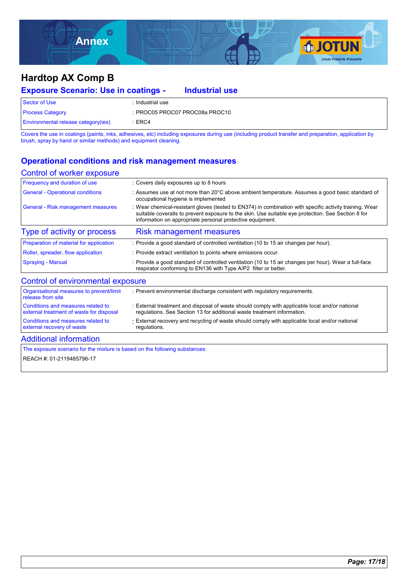

| <b>Exposure Scenario: Use in coatings -</b> | <b>Industrial use</b>          |
|---------------------------------------------|--------------------------------|
| Sector of Use                               | : Industrial use               |
| <b>Process Category</b>                     | : PROC05 PROC07 PROC08a PROC10 |
| <b>Environmental release category (ies)</b> | :ERC4                          |

Covers the use in coatings (paints, inks, adhesives, etc) including exposures during use (including product transfer and preparation, application by brush, spray by hand or similar methods) and equipment cleaning.

### **Operational conditions and risk management measures**

#### Control of worker exposure

| Frequency and duration of use             | : Covers daily exposures up to 8 hours                                                                                                                                                                                                                                   |
|-------------------------------------------|--------------------------------------------------------------------------------------------------------------------------------------------------------------------------------------------------------------------------------------------------------------------------|
| <b>General - Operational conditions</b>   | : Assumes use at not more than 20 $\degree$ C above ambient temperature. Assumes a good basic standard of<br>occupational hygiene is implemented                                                                                                                         |
| <b>General - Risk management measures</b> | Wear chemical-resistant gloves (tested to EN374) in combination with specific activity training. Wear<br>suitable coveralls to prevent exposure to the skin. Use suitable eye protection. See Section 8 for<br>information on appropriate personal protective equipment. |
| Type of activity or process               | <b>Risk management measures</b>                                                                                                                                                                                                                                          |
| Preparation of material for application   | : Provide a good standard of controlled ventilation (10 to 15 air changes per hour).                                                                                                                                                                                     |
| Roller, spreader, flow application        | : Provide extract ventilation to points where emissions occur.                                                                                                                                                                                                           |
| <b>Spraying - Manual</b>                  | : Provide a good standard of controlled ventilation (10 to 15 air changes per hour). Wear a full-face<br>respirator conforming to EN136 with Type A/P2 filter or better.                                                                                                 |
| Control of environmental exposure         |                                                                                                                                                                                                                                                                          |
| Organisational measures to prevent/limit  | : Prevent environmental discharge consistent with regulatory requirements.                                                                                                                                                                                               |

| Conditions and measures related to<br>external recovery of waste               | External recovery and recycling of waste should comply with applicable local and/or national<br>regulations.                                                              |
|--------------------------------------------------------------------------------|---------------------------------------------------------------------------------------------------------------------------------------------------------------------------|
| Conditions and measures related to<br>external treatment of waste for disposal | : External treatment and disposal of waste should comply with applicable local and/or national<br>regulations. See Section 13 for additional waste treatment information. |
| $\sim$ Organisational measures to preventimit $\sim$<br>release from site      | . FIGVENI GINNONNIGHIAI UISCHALUG CONSISIGHI WIIN TEQUIALUI V TEQUIFENIIS.                                                                                                |

### Additional information

The exposure scenario for the mixture is based on the following substances:

REACH #: 01-2119485796-17